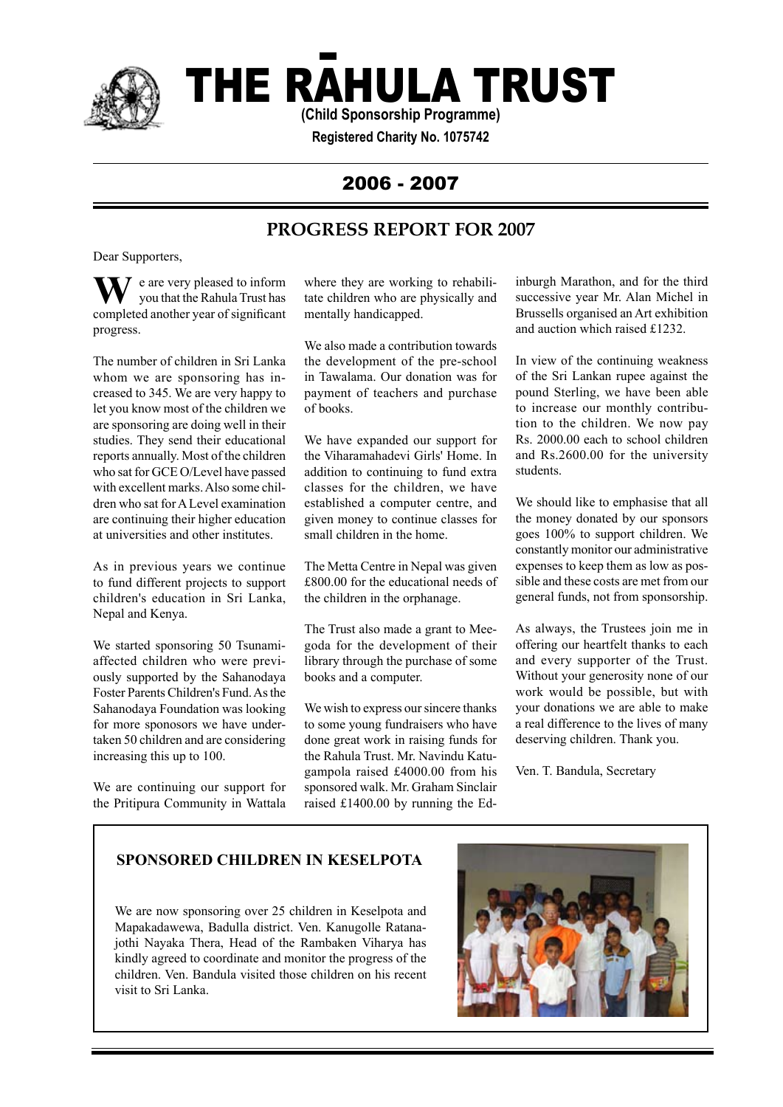

# THE RAHULA TRUST

**(Child Sponsorship Programme)**

**Registered Charity No. 1075742**

# 2006 - 2007

# **PROGRESS REPORT FOR 2007**

Dear Supporters,

 $\bar{I}$  e are very pleased to inform you that the Rahula Trust has **W** e are very pleased to inform<br>completed another year of significant progress.

The number of children in Sri Lanka whom we are sponsoring has increased to 345. We are very happy to let you know most of the children we are sponsoring are doing well in their studies. They send their educational reports annually. Most of the children who sat for GCE O/Level have passed with excellent marks. Also some children who sat for A Level examination are continuing their higher education at universities and other institutes.

As in previous years we continue to fund different projects to support children's education in Sri Lanka, Nepal and Kenya.

We started sponsoring 50 Tsunamiaffected children who were previously supported by the Sahanodaya Foster Parents Children's Fund. As the Sahanodaya Foundation was looking for more sponosors we have undertaken 50 children and are considering increasing this up to 100.

We are continuing our support for the Pritipura Community in Wattala where they are working to rehabilitate children who are physically and mentally handicapped.

We also made a contribution towards the development of the pre-school in Tawalama. Our donation was for payment of teachers and purchase of books.

We have expanded our support for the Viharamahadevi Girls' Home. In addition to continuing to fund extra classes for the children, we have established a computer centre, and given money to continue classes for small children in the home.

The Metta Centre in Nepal was given £800.00 for the educational needs of the children in the orphanage.

The Trust also made a grant to Meegoda for the development of their library through the purchase of some books and a computer.

We wish to express our sincere thanks to some young fundraisers who have done great work in raising funds for the Rahula Trust. Mr. Navindu Katugampola raised £4000.00 from his sponsored walk. Mr. Graham Sinclair raised £1400.00 by running the Edinburgh Marathon, and for the third successive year Mr. Alan Michel in Brussells organised an Art exhibition and auction which raised £1232.

In view of the continuing weakness of the Sri Lankan rupee against the pound Sterling, we have been able to increase our monthly contribution to the children. We now pay Rs. 2000.00 each to school children and Rs.2600.00 for the university students.

We should like to emphasise that all the money donated by our sponsors goes 100% to support children. We constantly monitor our administrative expenses to keep them as low as possible and these costs are met from our general funds, not from sponsorship.

As always, the Trustees join me in offering our heartfelt thanks to each and every supporter of the Trust. Without your generosity none of our work would be possible, but with your donations we are able to make a real difference to the lives of many deserving children. Thank you.

Ven. T. Bandula, Secretary

# **SPONSORED CHILDREN IN KESELPOTA**

We are now sponsoring over 25 children in Keselpota and Mapakadawewa, Badulla district. Ven. Kanugolle Ratanajothi Nayaka Thera, Head of the Rambaken Viharya has kindly agreed to coordinate and monitor the progress of the children. Ven. Bandula visited those children on his recent visit to Sri Lanka.

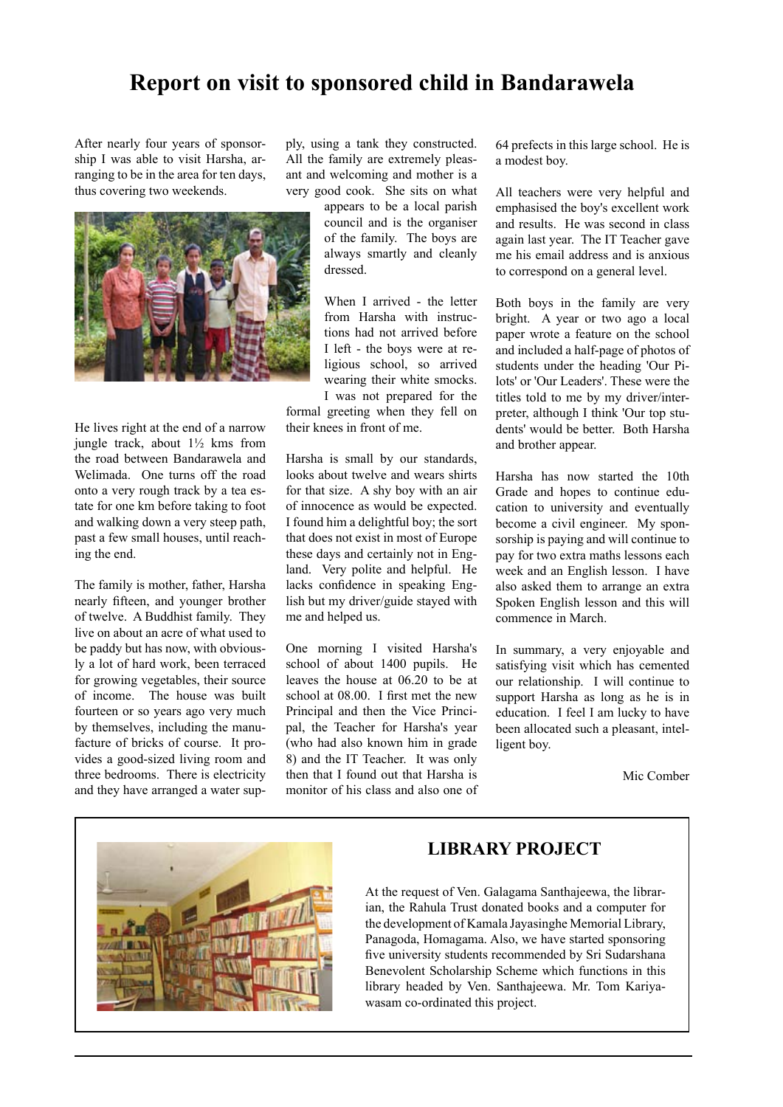# **Report on visit to sponsored child in Bandarawela**

After nearly four years of sponsorship I was able to visit Harsha, arranging to be in the area for ten days, thus covering two weekends.



He lives right at the end of a narrow jungle track, about 1½ kms from the road between Bandarawela and Welimada. One turns off the road onto a very rough track by a tea estate for one km before taking to foot and walking down a very steep path, past a few small houses, until reaching the end.

The family is mother, father, Harsha nearly fifteen, and younger brother of twelve. A Buddhist family. They live on about an acre of what used to be paddy but has now, with obviously a lot of hard work, been terraced for growing vegetables, their source of income. The house was built fourteen or so years ago very much by themselves, including the manufacture of bricks of course. It provides a good-sized living room and three bedrooms. There is electricity and they have arranged a water sup-

ply, using a tank they constructed. All the family are extremely pleasant and welcoming and mother is a very good cook. She sits on what

> appears to be a local parish council and is the organiser of the family. The boys are always smartly and cleanly dressed.

When I arrived - the letter from Harsha with instructions had not arrived before I left - the boys were at religious school, so arrived wearing their white smocks. I was not prepared for the

formal greeting when they fell on their knees in front of me.

Harsha is small by our standards, looks about twelve and wears shirts for that size. A shy boy with an air of innocence as would be expected. I found him a delightful boy; the sort that does not exist in most of Europe these days and certainly not in England. Very polite and helpful. He lacks confidence in speaking English but my driver/guide stayed with me and helped us.

One morning I visited Harsha's school of about 1400 pupils. He leaves the house at 06.20 to be at school at 08.00. I first met the new Principal and then the Vice Principal, the Teacher for Harsha's year (who had also known him in grade 8) and the IT Teacher. It was only then that I found out that Harsha is monitor of his class and also one of 64 prefects in this large school. He is a modest boy.

All teachers were very helpful and emphasised the boy's excellent work and results. He was second in class again last year. The IT Teacher gave me his email address and is anxious to correspond on a general level.

Both boys in the family are very bright. A year or two ago a local paper wrote a feature on the school and included a half-page of photos of students under the heading 'Our Pilots' or 'Our Leaders'. These were the titles told to me by my driver/interpreter, although I think 'Our top students' would be better. Both Harsha and brother appear.

Harsha has now started the 10th Grade and hopes to continue education to university and eventually become a civil engineer. My sponsorship is paying and will continue to pay for two extra maths lessons each week and an English lesson. I have also asked them to arrange an extra Spoken English lesson and this will commence in March.

In summary, a very enjoyable and satisfying visit which has cemented our relationship. I will continue to support Harsha as long as he is in education. I feel I am lucky to have been allocated such a pleasant, intelligent boy.

Mic Comber



### **LIBRARY PROJECT**

At the request of Ven. Galagama Santhajeewa, the librarian, the Rahula Trust donated books and a computer for the development of Kamala Jayasinghe Memorial Library, Panagoda, Homagama. Also, we have started sponsoring five university students recommended by Sri Sudarshana Benevolent Scholarship Scheme which functions in this library headed by Ven. Santhajeewa. Mr. Tom Kariyawasam co-ordinated this project.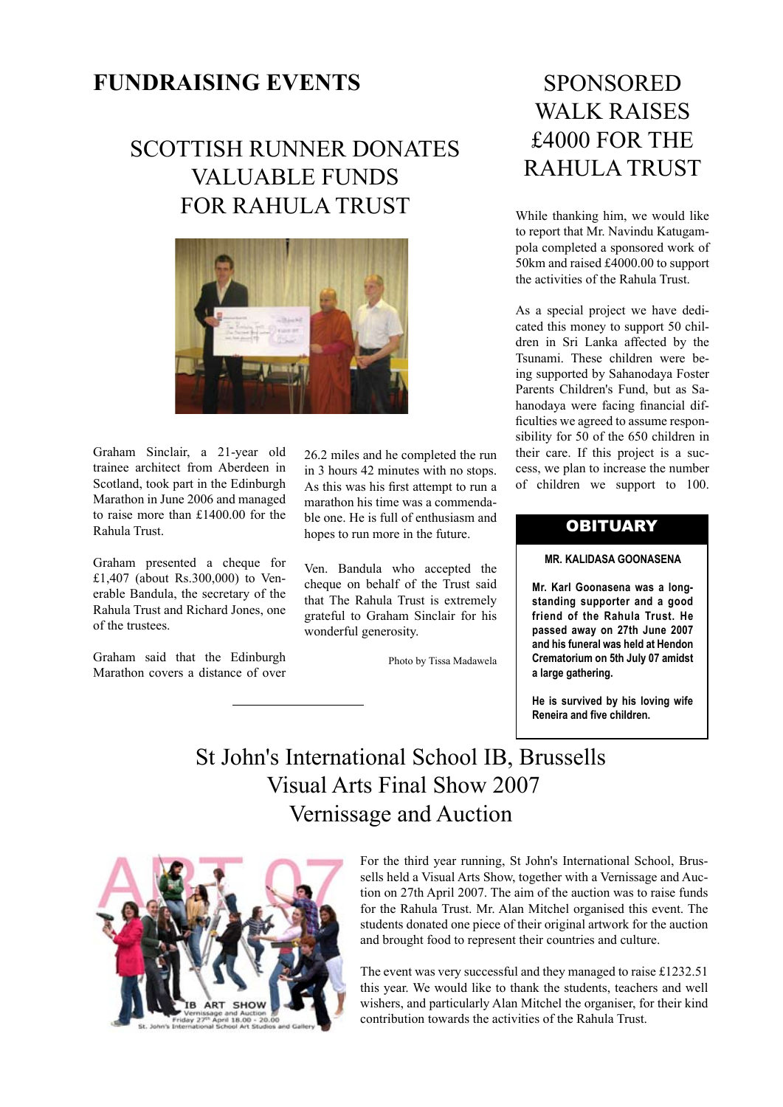# **FUNDRAISING EVENTS**

# SCOTTISH RUNNER DONATES VALUABLE FUNDS FOR RAHULA TRUST



Graham Sinclair, a 21-year old trainee architect from Aberdeen in Scotland, took part in the Edinburgh Marathon in June 2006 and managed to raise more than £1400.00 for the Rahula Trust.

Graham presented a cheque for £1,407 (about Rs.300,000) to Venerable Bandula, the secretary of the Rahula Trust and Richard Jones, one of the trustees.

Graham said that the Edinburgh Marathon covers a distance of over

26.2 miles and he completed the run in 3 hours 42 minutes with no stops. As this was his first attempt to run a marathon his time was a commendable one. He is full of enthusiasm and hopes to run more in the future.

Ven. Bandula who accepted the cheque on behalf of the Trust said that The Rahula Trust is extremely grateful to Graham Sinclair for his wonderful generosity.

Photo by Tissa Madawela

# **SPONSORED** WALK RAISES £4000 FOR THE RAHULA TRUST

While thanking him, we would like to report that Mr. Navindu Katugampola completed a sponsored work of 50km and raised £4000.00 to support the activities of the Rahula Trust.

As a special project we have dedicated this money to support 50 children in Sri Lanka affected by the Tsunami. These children were being supported by Sahanodaya Foster Parents Children's Fund, but as Sahanodaya were facing financial difficulties we agreed to assume responsibility for 50 of the 650 children in their care. If this project is a success, we plan to increase the number of children we support to 100.

### **OBITUARY**

#### **MR. KALIDASA GOONASENA**

**Mr. Karl Goonasena was a longstanding supporter and a good friend of the Rahula Trust. He passed away on 27th June 2007 and his funeral was held at Hendon Crematorium on 5th July 07 amidst a large gathering.** 

**He is survived by his loving wife Reneira and five children.** 

# St John's International School IB, Brussells Visual Arts Final Show 2007 Vernissage and Auction



For the third year running, St John's International School, Brussells held a Visual Arts Show, together with a Vernissage and Auction on 27th April 2007. The aim of the auction was to raise funds for the Rahula Trust. Mr. Alan Mitchel organised this event. The students donated one piece of their original artwork for the auction and brought food to represent their countries and culture.

The event was very successful and they managed to raise £1232.51 this year. We would like to thank the students, teachers and well wishers, and particularly Alan Mitchel the organiser, for their kind contribution towards the activities of the Rahula Trust.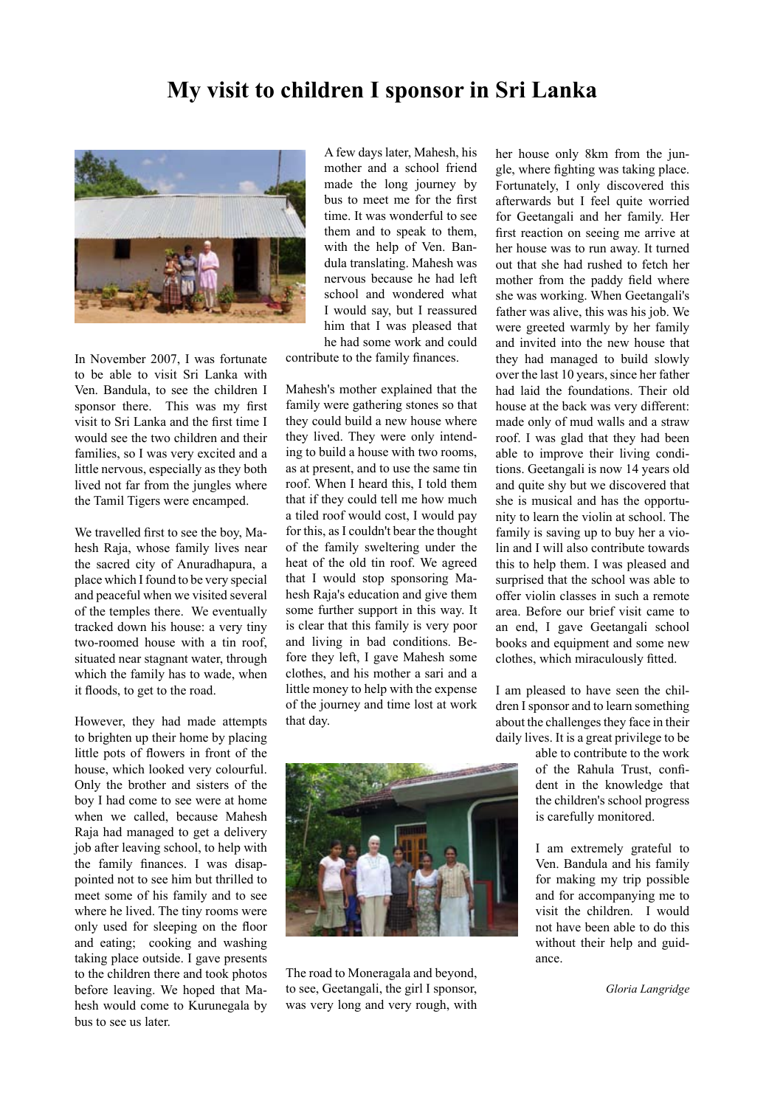# **My visit to children I sponsor in Sri Lanka**



In November 2007, I was fortunate to be able to visit Sri Lanka with Ven. Bandula, to see the children I sponsor there. This was my first visit to Sri Lanka and the first time I would see the two children and their families, so I was very excited and a little nervous, especially as they both lived not far from the jungles where the Tamil Tigers were encamped.

We travelled first to see the boy, Mahesh Raja, whose family lives near the sacred city of Anuradhapura, a place which I found to be very special and peaceful when we visited several of the temples there. We eventually tracked down his house: a very tiny two-roomed house with a tin roof, situated near stagnant water, through which the family has to wade, when it floods, to get to the road.

However, they had made attempts to brighten up their home by placing little pots of flowers in front of the house, which looked very colourful. Only the brother and sisters of the boy I had come to see were at home when we called, because Mahesh Raja had managed to get a delivery job after leaving school, to help with the family finances. I was disappointed not to see him but thrilled to meet some of his family and to see where he lived. The tiny rooms were only used for sleeping on the floor and eating; cooking and washing taking place outside. I gave presents to the children there and took photos before leaving. We hoped that Mahesh would come to Kurunegala by bus to see us later.

A few days later, Mahesh, his mother and a school friend made the long journey by bus to meet me for the first time. It was wonderful to see them and to speak to them, with the help of Ven. Bandula translating. Mahesh was nervous because he had left school and wondered what I would say, but I reassured him that I was pleased that he had some work and could

contribute to the family finances.

Mahesh's mother explained that the family were gathering stones so that they could build a new house where they lived. They were only intending to build a house with two rooms, as at present, and to use the same tin roof. When I heard this, I told them that if they could tell me how much a tiled roof would cost, I would pay for this, as I couldn't bear the thought of the family sweltering under the heat of the old tin roof. We agreed that I would stop sponsoring Mahesh Raja's education and give them some further support in this way. It is clear that this family is very poor and living in bad conditions. Before they left, I gave Mahesh some clothes, and his mother a sari and a little money to help with the expense of the journey and time lost at work that day.



The road to Moneragala and beyond, to see, Geetangali, the girl I sponsor, was very long and very rough, with her house only 8km from the jungle, where fighting was taking place. Fortunately, I only discovered this afterwards but I feel quite worried for Geetangali and her family. Her first reaction on seeing me arrive at her house was to run away. It turned out that she had rushed to fetch her mother from the paddy field where she was working. When Geetangali's father was alive, this was his job. We were greeted warmly by her family and invited into the new house that they had managed to build slowly over the last 10 years, since her father had laid the foundations. Their old house at the back was very different: made only of mud walls and a straw roof. I was glad that they had been able to improve their living conditions. Geetangali is now 14 years old and quite shy but we discovered that she is musical and has the opportunity to learn the violin at school. The family is saving up to buy her a violin and I will also contribute towards this to help them. I was pleased and surprised that the school was able to offer violin classes in such a remote area. Before our brief visit came to an end, I gave Geetangali school books and equipment and some new clothes, which miraculously fitted.

I am pleased to have seen the children I sponsor and to learn something about the challenges they face in their daily lives. It is a great privilege to be

> able to contribute to the work of the Rahula Trust, confident in the knowledge that the children's school progress is carefully monitored.

> I am extremely grateful to Ven. Bandula and his family for making my trip possible and for accompanying me to visit the children. I would not have been able to do this without their help and guidance.

> > *Gloria Langridge*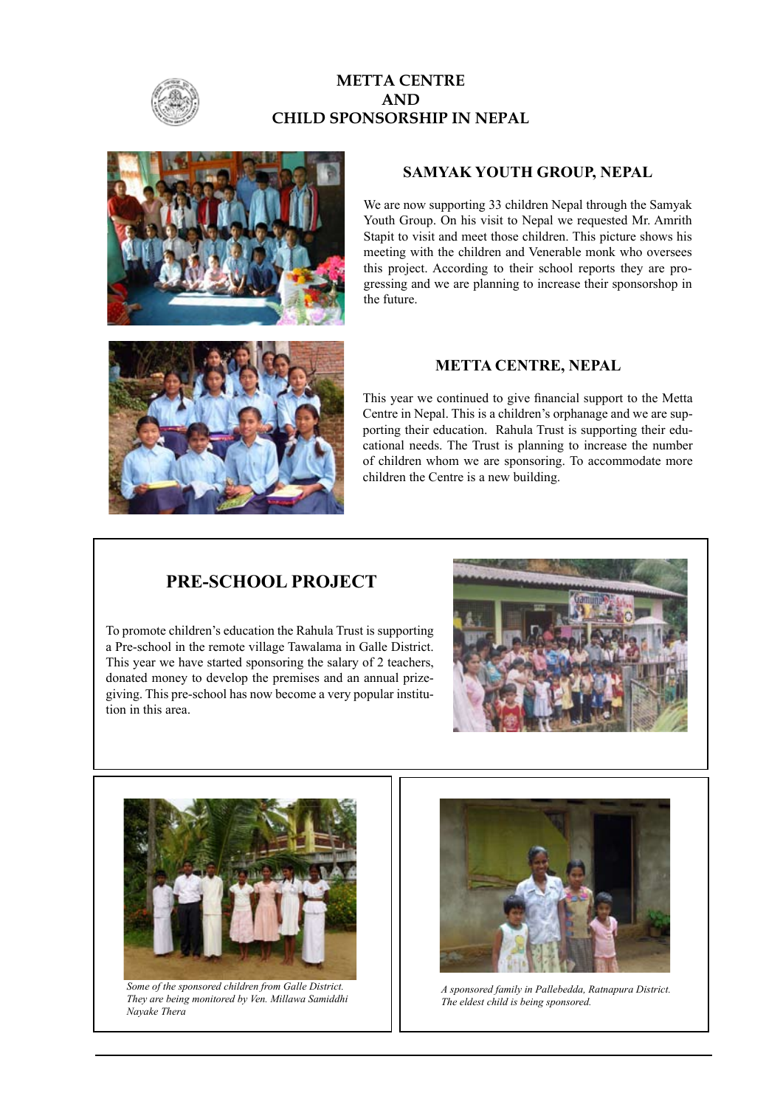

### **METTA CENTRE AND CHILD SPONSORSHIP IN NEPAL**



### **SAMYAK YOUTH GROUP, NEPAL**

We are now supporting 33 children Nepal through the Samyak Youth Group. On his visit to Nepal we requested Mr. Amrith Stapit to visit and meet those children. This picture shows his meeting with the children and Venerable monk who oversees this project. According to their school reports they are progressing and we are planning to increase their sponsorshop in the future.



This year we continued to give financial support to the Metta Centre in Nepal. This is a children's orphanage and we are supporting their education. Rahula Trust is supporting their educational needs. The Trust is planning to increase the number of children whom we are sponsoring. To accommodate more children the Centre is a new building.

### **PRE-SCHOOL PROJECT**

To promote children's education the Rahula Trust is supporting a Pre-school in the remote village Tawalama in Galle District. This year we have started sponsoring the salary of 2 teachers, donated money to develop the premises and an annual prizegiving. This pre-school has now become a very popular institution in this area.





*Some of the sponsored children from Galle District. They are being monitored by Ven. Millawa Samiddhi Nayake Thera*



*A sponsored family in Pallebedda, Ratnapura District. The eldest child is being sponsored.*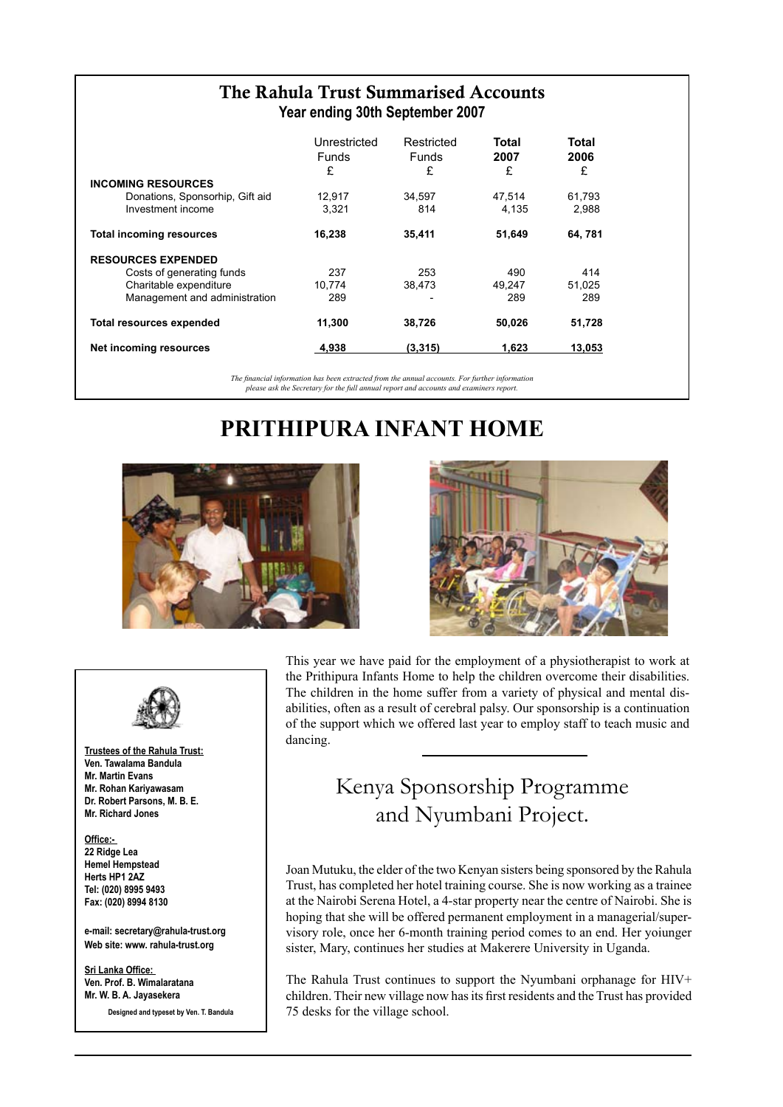| The Rahula Trust Summarised Accounts<br>Year ending 30th September 2007 |                                 |                           |                    |  |  |  |  |  |
|-------------------------------------------------------------------------|---------------------------------|---------------------------|--------------------|--|--|--|--|--|
| Unrestricted<br><b>Funds</b><br>£                                       | Restricted<br><b>Funds</b><br>£ | <b>Total</b><br>2007<br>£ | Total<br>2006<br>£ |  |  |  |  |  |
|                                                                         |                                 |                           |                    |  |  |  |  |  |
| 12,917                                                                  | 34,597                          | 47.514                    | 61,793             |  |  |  |  |  |
| 3,321                                                                   | 814                             | 4,135                     | 2,988              |  |  |  |  |  |
| 16,238                                                                  | 35,411                          | 51,649                    | 64, 781            |  |  |  |  |  |
|                                                                         |                                 |                           |                    |  |  |  |  |  |
| 237                                                                     | 253                             | 490                       | 414                |  |  |  |  |  |
| 10,774                                                                  | 38,473                          | 49.247                    | 51.025             |  |  |  |  |  |
| 289                                                                     |                                 | 289                       | 289                |  |  |  |  |  |
| 11,300                                                                  | 38,726                          | 50,026                    | 51,728             |  |  |  |  |  |
| 4,938                                                                   | (3,315)                         | 1,623                     | 13,053             |  |  |  |  |  |
|                                                                         |                                 |                           |                    |  |  |  |  |  |

*The financial information has been extracted from the annual accounts. For further information please ask the Secretary for the full annual report and accounts and examiners report.*

# **PRITHIPURA INFANT HOME**





**Trustees of the Rahula Trust: Ven. Tawalama Bandula Mr. Martin Evans Mr. Rohan Kariyawasam Dr. Robert Parsons, M. B. E. Mr. Richard Jones**

#### **Office:- 22 Ridge Lea Hemel Hempstead Herts HP1 2AZ Tel: (020) 8995 9493 Fax: (020) 8994 8130**

**e-mail: secretary@rahula-trust.org Web site: www. rahula-trust.org**

**Sri Lanka Office: Ven. Prof. B. Wimalaratana Mr. W. B. A. Jayasekera**

**Designed and typeset by Ven. T. Bandula**



This year we have paid for the employment of a physiotherapist to work at the Prithipura Infants Home to help the children overcome their disabilities. The children in the home suffer from a variety of physical and mental disabilities, often as a result of cerebral palsy. Our sponsorship is a continuation of the support which we offered last year to employ staff to teach music and dancing.

# Kenya Sponsorship Programme and Nyumbani Project.

Joan Mutuku, the elder of the two Kenyan sisters being sponsored by the Rahula Trust, has completed her hotel training course. She is now working as a trainee at the Nairobi Serena Hotel, a 4-star property near the centre of Nairobi. She is hoping that she will be offered permanent employment in a managerial/supervisory role, once her 6-month training period comes to an end. Her yoiunger sister, Mary, continues her studies at Makerere University in Uganda.

The Rahula Trust continues to support the Nyumbani orphanage for HIV+ children. Their new village now has its first residents and the Trust has provided 75 desks for the village school.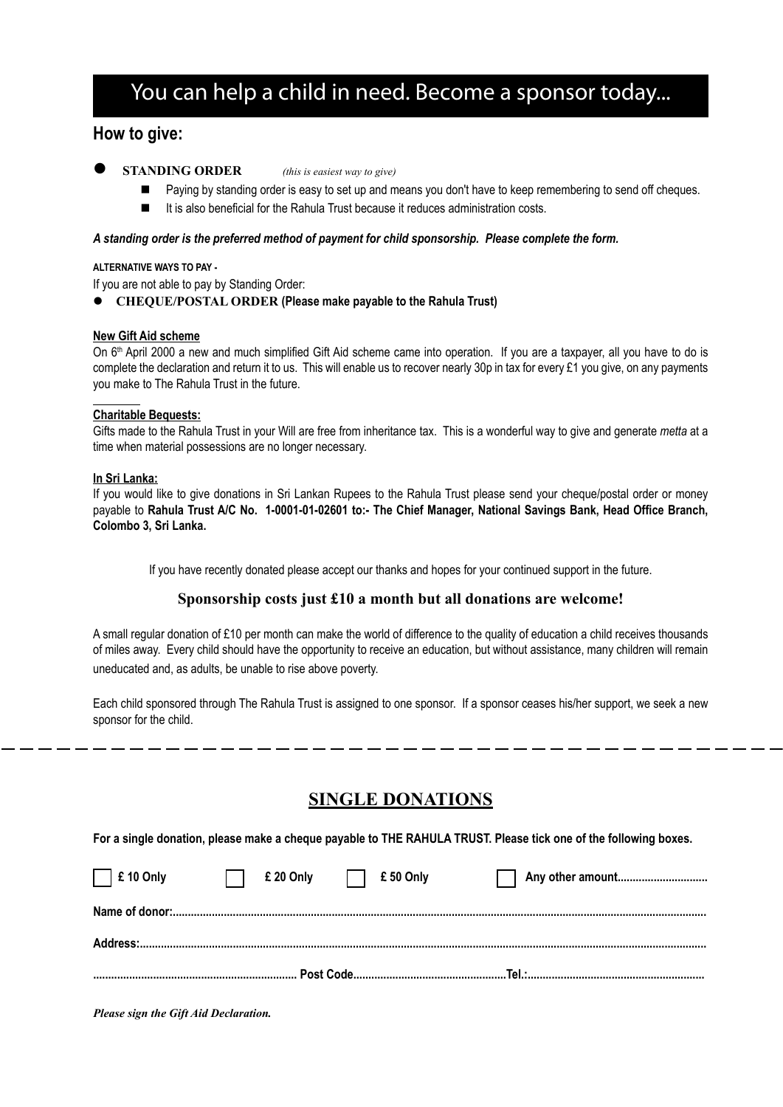# You can help a child in need. Become a sponsor today...

### **How to give:**

- - **STANDING ORDER** *(this is easiest way to give)*
		- Paying by standing order is easy to set up and means you don't have to keep remembering to send off cheques.
		- It is also beneficial for the Rahula Trust because it reduces administration costs.

#### *A standing order is the preferred method of payment for child sponsorship. Please complete the form.*

#### **ALTERNATIVE WAYS TO PAY -**

If you are not able to pay by Standing Order:

**CHEQUE/POSTAL ORDER (Please make payable to the Rahula Trust)** 

#### **New Gift Aid scheme**

On 6<sup>th</sup> April 2000 a new and much simplified Gift Aid scheme came into operation. If you are a taxpayer, all you have to do is complete the declaration and return it to us. This will enable us to recover nearly 30p in tax for every £1 you give, on any payments you make to The Rahula Trust in the future.

#### **Charitable Bequests:**

Gifts made to the Rahula Trust in your Will are free from inheritance tax. This is a wonderful way to give and generate *metta* at a time when material possessions are no longer necessary.

#### **In Sri Lanka:**

If you would like to give donations in Sri Lankan Rupees to the Rahula Trust please send your cheque/postal order or money payable to **Rahula Trust A/C No. 1-0001-01-02601 to:- The Chief Manager, National Savings Bank, Head Office Branch, Colombo 3, Sri Lanka.**

If you have recently donated please accept our thanks and hopes for your continued support in the future.

#### **Sponsorship costs just £10 a month but all donations are welcome!**

A small regular donation of £10 per month can make the world of difference to the quality of education a child receives thousands of miles away. Every child should have the opportunity to receive an education, but without assistance, many children will remain uneducated and, as adults, be unable to rise above poverty.

Each child sponsored through The Rahula Trust is assigned to one sponsor. If a sponsor ceases his/her support, we seek a new sponsor for the child.

# **SINGLE DONATIONS**

**For a single donation, please make a cheque payable to THE RAHULA TRUST. Please tick one of the following boxes.** 

| $\Box$ £ 10 Only | £ 20 Only | £50 Only | Any other amount |
|------------------|-----------|----------|------------------|

*Please sign the Gift Aid Declaration.*